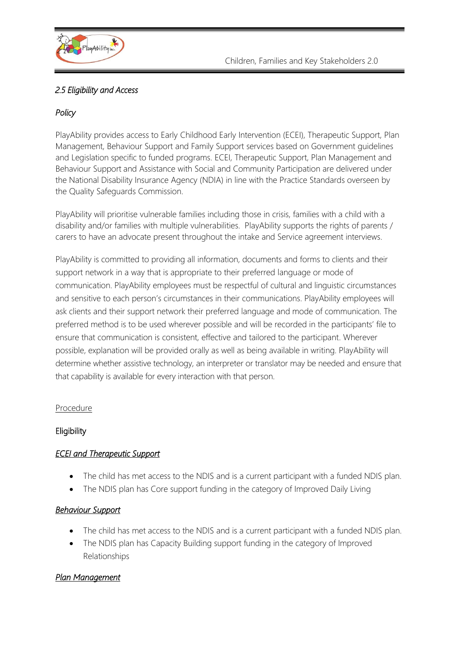

## *2.5 Eligibility and Access*

## *Policy*

PlayAbility provides access to Early Childhood Early Intervention (ECEI), Therapeutic Support, Plan Management, Behaviour Support and Family Support services based on Government guidelines and Legislation specific to funded programs. ECEI, Therapeutic Support, Plan Management and Behaviour Support and Assistance with Social and Community Participation are delivered under the National Disability Insurance Agency (NDIA) in line with the Practice Standards overseen by the Quality Safeguards Commission.

PlayAbility will prioritise vulnerable families including those in crisis, families with a child with a disability and/or families with multiple vulnerabilities. PlayAbility supports the rights of parents / carers to have an advocate present throughout the intake and Service agreement interviews.

PlayAbility is committed to providing all information, documents and forms to clients and their support network in a way that is appropriate to their preferred language or mode of communication. PlayAbility employees must be respectful of cultural and linguistic circumstances and sensitive to each person's circumstances in their communications. PlayAbility employees will ask clients and their support network their preferred language and mode of communication. The preferred method is to be used wherever possible and will be recorded in the participants' file to ensure that communication is consistent, effective and tailored to the participant. Wherever possible, explanation will be provided orally as well as being available in writing. PlayAbility will determine whether assistive technology, an interpreter or translator may be needed and ensure that that capability is available for every interaction with that person.

#### Procedure

## **Eligibility**

## *ECEI and Therapeutic Support*

- The child has met access to the NDIS and is a current participant with a funded NDIS plan.
- The NDIS plan has Core support funding in the category of Improved Daily Living

## *Behaviour Support*

- The child has met access to the NDIS and is a current participant with a funded NDIS plan.
- The NDIS plan has Capacity Building support funding in the category of Improved Relationships

## *Plan Management*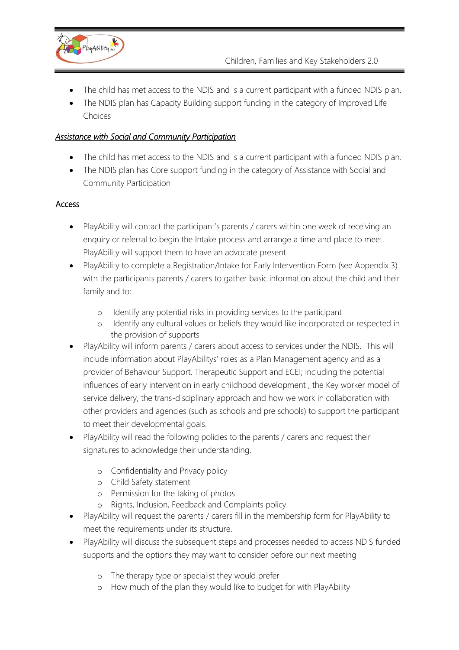

- The child has met access to the NDIS and is a current participant with a funded NDIS plan.
- The NDIS plan has Capacity Building support funding in the category of Improved Life Choices

#### *Assistance with Social and Community Participation*

- The child has met access to the NDIS and is a current participant with a funded NDIS plan.
- The NDIS plan has Core support funding in the category of Assistance with Social and Community Participation

#### Access

- PlayAbility will contact the participant's parents / carers within one week of receiving an enquiry or referral to begin the Intake process and arrange a time and place to meet. PlayAbility will support them to have an advocate present.
- PlayAbility to complete a Registration/Intake for Early Intervention Form (see Appendix 3) with the participants parents / carers to gather basic information about the child and their family and to:
	- o Identify any potential risks in providing services to the participant
	- o Identify any cultural values or beliefs they would like incorporated or respected in the provision of supports
- PlayAbility will inform parents / carers about access to services under the NDIS. This will include information about PlayAbilitys' roles as a Plan Management agency and as a provider of Behaviour Support, Therapeutic Support and ECEI; including the potential influences of early intervention in early childhood development , the Key worker model of service delivery, the trans-disciplinary approach and how we work in collaboration with other providers and agencies (such as schools and pre schools) to support the participant to meet their developmental goals.
- PlayAbility will read the following policies to the parents / carers and request their signatures to acknowledge their understanding.
	- o Confidentiality and Privacy policy
	- o Child Safety statement
	- o Permission for the taking of photos
	- o Rights, Inclusion, Feedback and Complaints policy
- PlayAbility will request the parents / carers fill in the membership form for PlayAbility to meet the requirements under its structure.
- PlayAbility will discuss the subsequent steps and processes needed to access NDIS funded supports and the options they may want to consider before our next meeting
	- o The therapy type or specialist they would prefer
	- o How much of the plan they would like to budget for with PlayAbility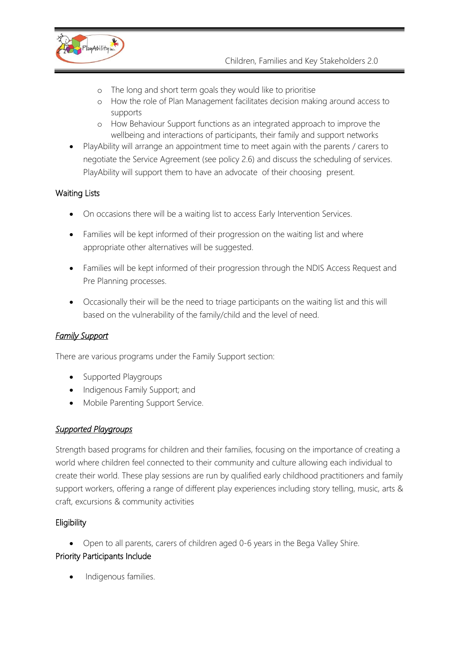

- o The long and short term goals they would like to prioritise
- How the role of Plan Management facilitates decision making around access to supports
- o How Behaviour Support functions as an integrated approach to improve the wellbeing and interactions of participants, their family and support networks
- PlayAbility will arrange an appointment time to meet again with the parents / carers to negotiate the Service Agreement (see policy 2.6) and discuss the scheduling of services. PlayAbility will support them to have an advocate of their choosing present.

## Waiting Lists

- On occasions there will be a waiting list to access Early Intervention Services.
- Families will be kept informed of their progression on the waiting list and where appropriate other alternatives will be suggested.
- Families will be kept informed of their progression through the NDIS Access Request and Pre Planning processes.
- Occasionally their will be the need to triage participants on the waiting list and this will based on the vulnerability of the family/child and the level of need.

## *Family Support*

There are various programs under the Family Support section:

- Supported Playgroups
- Indigenous Family Support; and
- Mobile Parenting Support Service.

## *Supported Playgroups*

Strength based programs for children and their families, focusing on the importance of creating a world where children feel connected to their community and culture allowing each individual to create their world. These play sessions are run by qualified early childhood practitioners and family support workers, offering a range of different play experiences including story telling, music, arts & craft, excursions & community activities

# **Eligibility**

• Open to all parents, carers of children aged 0-6 years in the Bega Valley Shire.

## Priority Participants Include

• Indigenous families.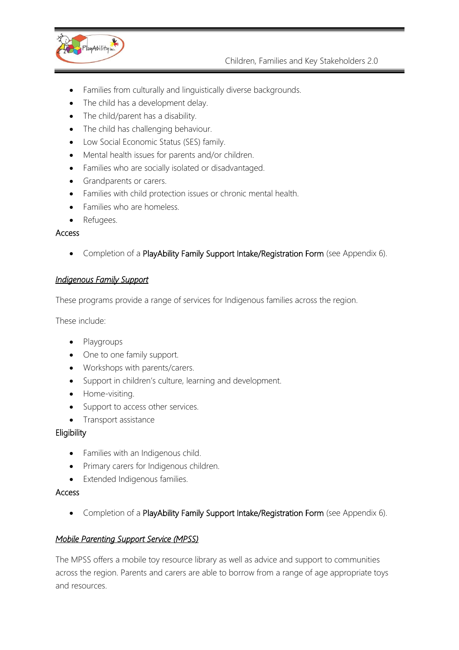

- Families from culturally and linguistically diverse backgrounds.
- The child has a development delay.
- The child/parent has a disability.
- The child has challenging behaviour.
- Low Social Economic Status (SES) family.
- Mental health issues for parents and/or children.
- Families who are socially isolated or disadvantaged.
- Grandparents or carers.
- Families with child protection issues or chronic mental health.
- Families who are homeless.
- Refugees.

#### Access

• Completion of a PlayAbility Family Support Intake/Registration Form (see Appendix 6).

## *Indigenous Family Support*

These programs provide a range of services for Indigenous families across the region.

These include:

- Playgroups
- One to one family support.
- Workshops with parents/carers.
- Support in children's culture, learning and development.
- Home-visiting.
- Support to access other services.
- Transport assistance

#### **Eligibility**

- Families with an Indigenous child.
- Primary carers for Indigenous children.
- Extended Indigenous families.

#### Access

• Completion of a PlayAbility Family Support Intake/Registration Form (see Appendix 6).

#### *Mobile Parenting Support Service (MPSS)*

The MPSS offers a mobile toy resource library as well as advice and support to communities across the region. Parents and carers are able to borrow from a range of age appropriate toys and resources.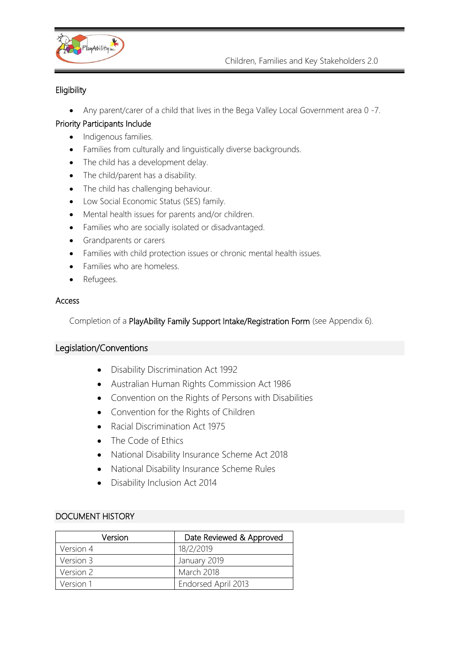

## **Eligibility**

• Any parent/carer of a child that lives in the Bega Valley Local Government area 0 -7.

## Priority Participants Include

- Indigenous families.
- Families from culturally and linguistically diverse backgrounds.
- The child has a development delay.
- The child/parent has a disability.
- The child has challenging behaviour.
- Low Social Economic Status (SES) family.
- Mental health issues for parents and/or children.
- Families who are socially isolated or disadvantaged.
- Grandparents or carers
- Families with child protection issues or chronic mental health issues.
- Families who are homeless.
- Refugees.

#### Access

Completion of a PlayAbility Family Support Intake/Registration Form (see Appendix 6).

## Legislation/Conventions

- Disability Discrimination Act 1992
- [Australian Human Rights Commission Act 1986](http://www.comlaw.gov.au/comlaw/management.nsf/lookupindexpagesbyid/IP200401635?OpenDocument)
- Convention on the Rights of Persons with Disabilities
- Convention for the Rights of Children
- [Racial Discrimination Act 1975](http://www.comlaw.gov.au/comlaw/management.nsf/lookupindexpagesbyid/IP200401654?OpenDocument)
- The Code of Ethics
- National Disability Insurance Scheme Act 2018
- National Disability Insurance Scheme Rules
- Disability Inclusion Act 2014

#### DOCUMENT HISTORY

| Version   | Date Reviewed & Approved |
|-----------|--------------------------|
| Version 4 | 18/2/2019                |
| Version 3 | January 2019             |
| Version 2 | March 2018               |
| Version 1 | Endorsed April 2013      |